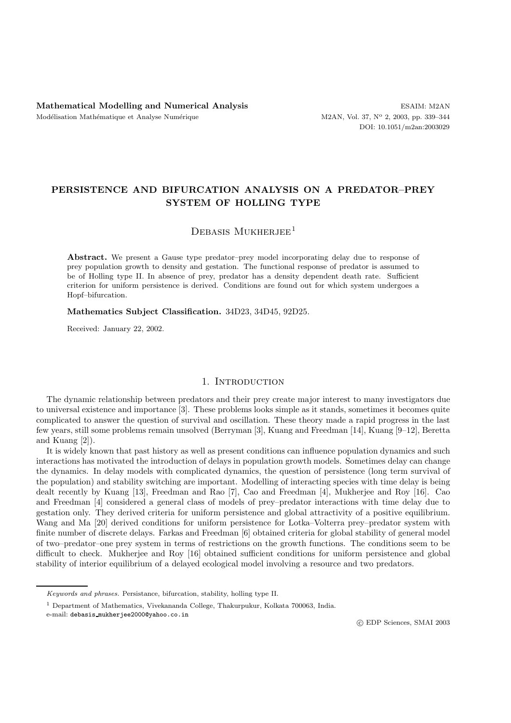# **PERSISTENCE AND BIFURCATION ANALYSIS ON A PREDATOR–PREY SYSTEM OF HOLLING TYPE**

## DEBASIS MUKHERJEE<sup>1</sup>

Abstract. We present a Gause type predator–prey model incorporating delay due to response of prey population growth to density and gestation. The functional response of predator is assumed to be of Holling type II. In absence of prey, predator has a density dependent death rate. Sufficient criterion for uniform persistence is derived. Conditions are found out for which system undergoes a Hopf–bifurcation.

**Mathematics Subject Classification.** 34D23, 34D45, 92D25.

Received: January 22, 2002.

### 1. INTRODUCTION

The dynamic relationship between predators and their prey create major interest to many investigators due to universal existence and importance [3]. These problems looks simple as it stands, sometimes it becomes quite complicated to answer the question of survival and oscillation. These theory made a rapid progress in the last few years, still some problems remain unsolved (Berryman [3], Kuang and Freedman [14], Kuang [9–12], Beretta and Kuang [2]).

It is widely known that past history as well as present conditions can influence population dynamics and such interactions has motivated the introduction of delays in population growth models. Sometimes delay can change the dynamics. In delay models with complicated dynamics, the question of persistence (long term survival of the population) and stability switching are important. Modelling of interacting species with time delay is being dealt recently by Kuang [13], Freedman and Rao [7], Cao and Freedman [4], Mukherjee and Roy [16]. Cao and Freedman [4] considered a general class of models of prey–predator interactions with time delay due to gestation only. They derived criteria for uniform persistence and global attractivity of a positive equilibrium. Wang and Ma [20] derived conditions for uniform persistence for Lotka–Volterra prey–predator system with finite number of discrete delays. Farkas and Freedman [6] obtained criteria for global stability of general model of two–predator–one prey system in terms of restrictions on the growth functions. The conditions seem to be difficult to check. Mukherjee and Roy [16] obtained sufficient conditions for uniform persistence and global stability of interior equilibrium of a delayed ecological model involving a resource and two predators.

Keywords and phrases. Persistance, bifurcation, stability, holling type II.

<sup>1</sup> Department of Mathematics, Vivekananda College, Thakurpukur, Kolkata 700063, India.

e-mail: debasis mukherjee2000@yahoo.co.in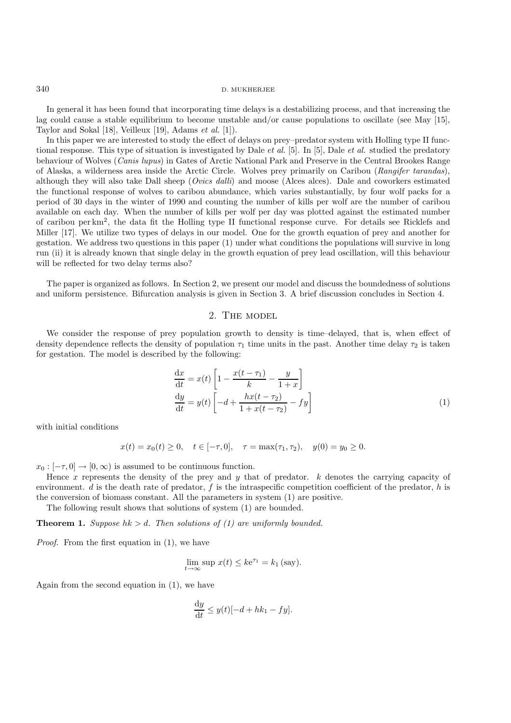In general it has been found that incorporating time delays is a destabilizing process, and that increasing the lag could cause a stable equilibrium to become unstable and/or cause populations to oscillate (see May [15], Taylor and Sokal [18], Veilleux [19], Adams *et al.* [1]).

In this paper we are interested to study the effect of delays on prey–predator system with Holling type II functional response. This type of situation is investigated by Dale *et al.* [5]. In [5], Dale *et al.* studied the predatory behaviour of Wolves (*Canis lupus*) in Gates of Arctic National Park and Preserve in the Central Brookes Range of Alaska, a wilderness area inside the Arctic Circle. Wolves prey primarily on Caribou (*Rangifer tarandas*), although they will also take Dall sheep (*Ovics dalli*) and moose (Alces alces). Dale and coworkers estimated the functional response of wolves to caribou abundance, which varies substantially, by four wolf packs for a period of 30 days in the winter of 1990 and counting the number of kills per wolf are the number of caribou available on each day. When the number of kills per wolf per day was plotted against the estimated number of caribou per km2, the data fit the Holling type II functional response curve. For details see Ricklefs and Miller [17]. We utilize two types of delays in our model. One for the growth equation of prey and another for gestation. We address two questions in this paper (1) under what conditions the populations will survive in long run (ii) it is already known that single delay in the growth equation of prey lead oscillation, will this behaviour will be reflected for two delay terms also?

The paper is organized as follows. In Section 2, we present our model and discuss the boundedness of solutions and uniform persistence. Bifurcation analysis is given in Section 3. A brief discussion concludes in Section 4.

## 2. THE MODEL

We consider the response of prey population growth to density is time–delayed, that is, when effect of density dependence reflects the density of population  $\tau_1$  time units in the past. Another time delay  $\tau_2$  is taken for gestation. The model is described by the following:

$$
\frac{dx}{dt} = x(t) \left[ 1 - \frac{x(t - \tau_1)}{k} - \frac{y}{1 + x} \right]
$$

$$
\frac{dy}{dt} = y(t) \left[ -d + \frac{hx(t - \tau_2)}{1 + x(t - \tau_2)} - fy \right]
$$
(1)

with initial conditions

$$
x(t) = x_0(t) \ge 0
$$
,  $t \in [-\tau, 0]$ ,  $\tau = \max(\tau_1, \tau_2)$ ,  $y(0) = y_0 \ge 0$ .

 $x_0 : [-\tau, 0] \to [0, \infty)$  is assumed to be continuous function.

Hence x represents the density of the prey and y that of predator.  $k$  denotes the carrying capacity of environment.  $d$  is the death rate of predator,  $f$  is the intraspecific competition coefficient of the predator,  $h$  is the conversion of biomass constant. All the parameters in system (1) are positive.

The following result shows that solutions of system (1) are bounded.

**Theorem 1.** *Suppose*  $hk > d$ . *Then solutions of (1) are uniformly bounded.* 

*Proof.* From the first equation in (1), we have

$$
\lim_{t \to \infty} \sup x(t) \le k e^{\tau_1} = k_1 \text{ (say)}.
$$

Again from the second equation in (1), we have

$$
\frac{\mathrm{d}y}{\mathrm{d}t} \le y(t)[-d+hk_1-fy].
$$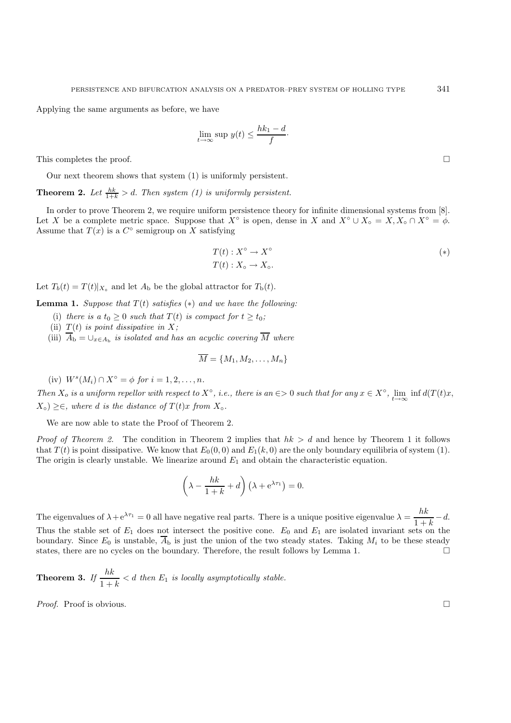Applying the same arguments as before, we have

$$
\lim_{t \to \infty} \sup y(t) \le \frac{hk_1 - d}{f}.
$$

This completes the proof.  $\square$ 

Our next theorem shows that system (1) is uniformly persistent.

**Theorem 2.** Let  $\frac{hk}{1+k} > d$ . Then system (1) is uniformly persistent.

In order to prove Theorem 2, we require uniform persistence theory for infinite dimensional systems from [8]. Let X be a complete metric space. Suppose that  $X^{\circ}$  is open, dense in X and  $X^{\circ} \cup X_{\circ} = X, X_{\circ} \cap X^{\circ} = \phi$ . Assume that  $T(x)$  is a  $C^{\circ}$  semigroup on X satisfying

$$
T(t) : X^{\circ} \to X^{\circ}
$$
  
\n
$$
T(t) : X_{\circ} \to X_{\circ}.
$$
  
\n
$$
(*)
$$

Let  $T_b(t) = T(t)|_{X_0}$  and let  $A_b$  be the global attractor for  $T_b(t)$ .

**Lemma 1.** *Suppose that*  $T(t)$  *satisfies*  $(*)$  *and we have the following:* 

- (i) *there is a*  $t_0 > 0$  *such that*  $T(t)$  *is compact for*  $t > t_0$ ;
- (ii)  $T(t)$  *is point dissipative in* X;
- (iii)  $A_{\rm b} = \bigcup_{x \in A_{\rm b}}$  *is isolated and has an acyclic covering*  $\overline{M}$  *where*

$$
\overline{M} = \{M_1, M_2, \ldots, M_n\}
$$

(iv)  $W^{s}(M_i) \cap X^{\circ} = \phi$  *for*  $i = 1, 2, ..., n$ *.* 

*Then*  $X_o$  *is a uniform repellor with respect to*  $X^\circ$ *, i.e., there is an*  $\epsilon > 0$  *such that for any*  $x \in X^\circ$ ,  $\lim_{t \to \infty} \inf d(T(t)x)$ ,  $(X_{\circ}) \geq \in$ *, where d is the distance of*  $T(t)x$  *from*  $X_{\circ}$ *.* 

We are now able to state the Proof of Theorem 2.

*Proof of Theorem 2.* The condition in Theorem 2 implies that  $hk > d$  and hence by Theorem 1 it follows that  $T(t)$  is point dissipative. We know that  $E_0(0,0)$  and  $E_1(k,0)$  are the only boundary equilibria of system (1). The origin is clearly unstable. We linearize around  $E_1$  and obtain the characteristic equation.

$$
\left(\lambda - \frac{hk}{1+k} + d\right) \left(\lambda + e^{\lambda \tau_1}\right) = 0.
$$

The eigenvalues of  $\lambda + e^{\lambda \tau_1} = 0$  all have negative real parts. There is a unique positive eigenvalue  $\lambda = \frac{hk}{1 + k} - d$ . Thus the stable set of  $E_1$  does not intersect the positive cone.  $E_0$  and  $E_1$  are isolated invariant sets on the boundary. Since  $E_0$  is unstable,  $\overline{A}_b$  is just the union of the two steady states. Taking  $M_i$  to be these steady states, there are no cycles on the boundary. Therefore, the result follows by Lemma 1.  $\Box$ 

**Theorem 3.** *If*  $\frac{hk}{1+k} < d$  *then*  $E_1$  *is locally asymptotically stable.* 

*Proof.* Proof is obvious. □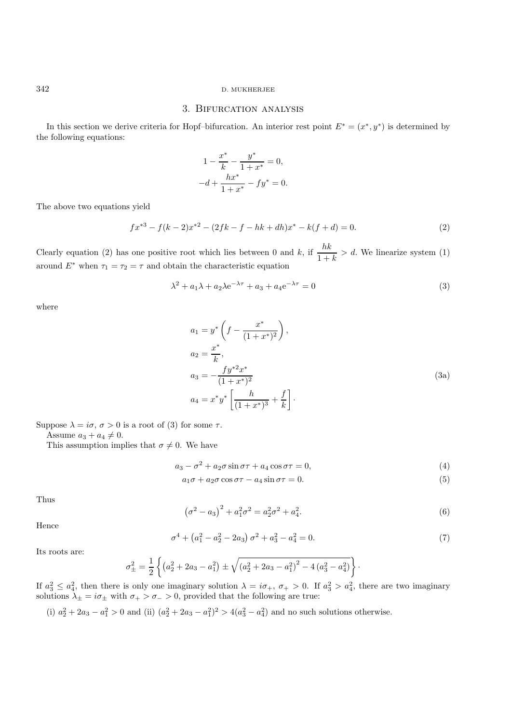#### 342 D. MUKHERJEE

## 3. Bifurcation analysis

In this section we derive criteria for Hopf–bifurcation. An interior rest point  $E^* = (x^*, y^*)$  is determined by the following equations:

$$
1 - \frac{x^*}{k} - \frac{y^*}{1 + x^*} = 0,
$$
  

$$
-d + \frac{hx^*}{1 + x^*} - fy^* = 0.
$$

The above two equations yield

$$
fx^{*3} - f(k-2)x^{*2} - (2fk - f - hk + dh)x^* - k(f + d) = 0.
$$
\n(2)

Clearly equation (2) has one positive root which lies between 0 and k, if  $\frac{hk}{1+k} > d$ . We linearize system (1) around  $E^*$  when  $\tau_1 = \tau_2 = \tau$  and obtain the characteristic equation

$$
\lambda^2 + a_1 \lambda + a_2 \lambda e^{-\lambda \tau} + a_3 + a_4 e^{-\lambda \tau} = 0
$$
\n(3)

where

$$
a_1 = y^* \left( f - \frac{x^*}{(1+x^*)^2} \right),
$$
  
\n
$$
a_2 = \frac{x^*}{k},
$$
  
\n
$$
a_3 = -\frac{fy^{*2}x^*}{(1+x^*)^2},
$$
  
\n
$$
a_4 = x^*y^* \left[ \frac{h}{(1+x^*)^3} + \frac{f}{k} \right].
$$
\n(3a)

Suppose  $\lambda = i\sigma, \sigma > 0$  is a root of (3) for some  $\tau$ .

Assume  $a_3 + a_4 \neq 0$ .

This assumption implies that  $\sigma \neq 0$ . We have

$$
a_3 - \sigma^2 + a_2 \sigma \sin \sigma \tau + a_4 \cos \sigma \tau = 0,\tag{4}
$$

$$
a_1\sigma + a_2\sigma\cos\sigma\tau - a_4\sin\sigma\tau = 0.
$$
\n(5)

Thus

$$
(\sigma^2 - a_3)^2 + a_1^2 \sigma^2 = a_2^2 \sigma^2 + a_4^2.
$$
 (6)

Hence

$$
\sigma^4 + \left(a_1^2 - a_2^2 - 2a_3\right)\sigma^2 + a_3^2 - a_4^2 = 0.
$$
\n(7)

Its roots are:

$$
\sigma_{\pm}^{2} = \frac{1}{2} \left\{ \left( a_{2}^{2} + 2a_{3} - a_{1}^{2} \right) \pm \sqrt{\left( a_{2}^{2} + 2a_{3} - a_{1}^{2} \right)^{2} - 4 \left( a_{3}^{2} - a_{4}^{2} \right)} \right\}.
$$

If  $a_3^2 \le a_4^2$ , then there is only one imaginary solution  $\lambda = i\sigma_+$ ,  $\sigma_+ > 0$ . If  $a_3^2 > a_4^2$ , there are two imaginary solutions  $\lambda_{\pm} = i\sigma_{\pm}$  with  $\sigma_{+} > \sigma_{-} > 0$ , provided that the following are true:

(i)  $a_2^2 + 2a_3 - a_1^2 > 0$  and (ii)  $(a_2^2 + 2a_3 - a_1^2)^2 > 4(a_3^2 - a_4^2)$  and no such solutions otherwise.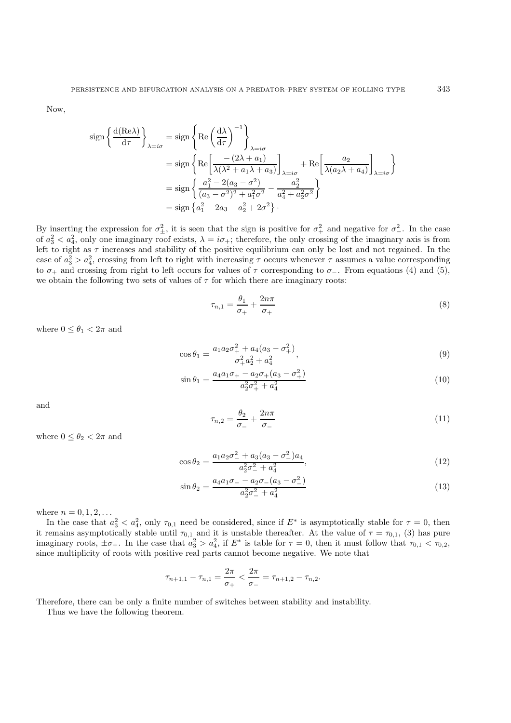Now,

$$
\begin{split} \text{sign}\left\{\frac{\mathrm{d}(\text{Re}\lambda)}{\mathrm{d}\tau}\right\}_{\lambda=i\sigma} &= \text{sign}\left\{\text{Re}\left(\frac{\mathrm{d}\lambda}{\mathrm{d}\tau}\right)^{-1}\right\}_{\lambda=i\sigma} \\ &= \text{sign}\left\{\text{Re}\left[\frac{-(2\lambda+a_1)}{\lambda(\lambda^2+a_1\lambda+a_3)}\right]_{\lambda=i\sigma} + \text{Re}\left[\frac{a_2}{\lambda(a_2\lambda+a_4)}\right]_{\lambda=i\sigma}\right\} \\ &= \text{sign}\left\{\frac{a_1^2-2(a_3-\sigma^2)}{(a_3-\sigma^2)^2+a_1^2\sigma^2}-\frac{a_2^2}{a_4^2+a_2^2\sigma^2}\right\} \\ &= \text{sign}\left\{a_1^2-2a_3-a_2^2+2\sigma^2\right\}. \end{split}
$$

By inserting the expression for  $\sigma_{\pm}^2$ , it is seen that the sign is positive for  $\sigma_{+}^2$  and negative for  $\sigma_{-}^2$ . In the case of  $a_3^2 < a_4^2$ , only one imaginary roof exists,  $\lambda = i\sigma_+$ ; therefore, the only crossing of the imaginary axis is from left to right as  $\tau$  increases and stability of the positive equilibrium can only be lost and not regained. In the case of  $a_3^2 > a_4^2$ , crossing from left to right with increasing  $\tau$  occurs whenever  $\tau$  assumes a value corresponding to  $\sigma_+$  and crossing from right to left occurs for values of  $\tau$  corresponding to  $\sigma_-$ . From equations (4) and (5), we obtain the following two sets of values of  $\tau$  for which there are imaginary roots:

$$
\tau_{n,1} = \frac{\theta_1}{\sigma_+} + \frac{2n\pi}{\sigma_+} \tag{8}
$$

where  $0 \leq \theta_1 < 2\pi$  and

$$
\cos \theta_1 = \frac{a_1 a_2 \sigma_+^2 + a_4 (a_3 - \sigma_+^2)}{\sigma_+^2 a_2^2 + a_4^2},\tag{9}
$$

$$
\sin \theta_1 = \frac{a_4 a_1 \sigma_+ - a_2 \sigma_+ (a_3 - \sigma_+^2)}{a_2^2 \sigma_+^2 + a_4^2} \tag{10}
$$

and

$$
\tau_{n,2} = \frac{\theta_2}{\sigma_-} + \frac{2n\pi}{\sigma_-} \tag{11}
$$

where  $0 \le \theta_2 < 2\pi$  and

$$
\cos \theta_2 = \frac{a_1 a_2 \sigma_-^2 + a_3 (a_3 - \sigma_-^2) a_4}{a_2^2 \sigma_-^2 + a_4^2},\tag{12}
$$

$$
\sin \theta_2 = \frac{a_4 a_1 \sigma_- - a_2 \sigma_- (a_3 - \sigma_-^2)}{a_2^2 \sigma_-^2 + a_4^2} \tag{13}
$$

where  $n = 0, 1, 2, ...$ 

In the case that  $a_3^2 < a_4^2$ , only  $\tau_{0,1}$  need be considered, since if  $E^*$  is asymptotically stable for  $\tau = 0$ , then it remains asymptotically stable until  $\tau_{0,1}$  and it is unstable thereafter. At the value of  $\tau = \tau_{0,1}$ , (3) has pure imaginary roots,  $\pm \sigma_+$ . In the case that  $a_3^2 > a_4^2$ , if  $E^*$  is table for  $\tau = 0$ , then it must follow that  $\tau_{0,1} < \tau_{0,2}$ , since multiplicity of roots with positive real parts cannot become negative. We note that

$$
\tau_{n+1,1} - \tau_{n,1} = \frac{2\pi}{\sigma_+} < \frac{2\pi}{\sigma_-} = \tau_{n+1,2} - \tau_{n,2}.
$$

Therefore, there can be only a finite number of switches between stability and instability.

Thus we have the following theorem.